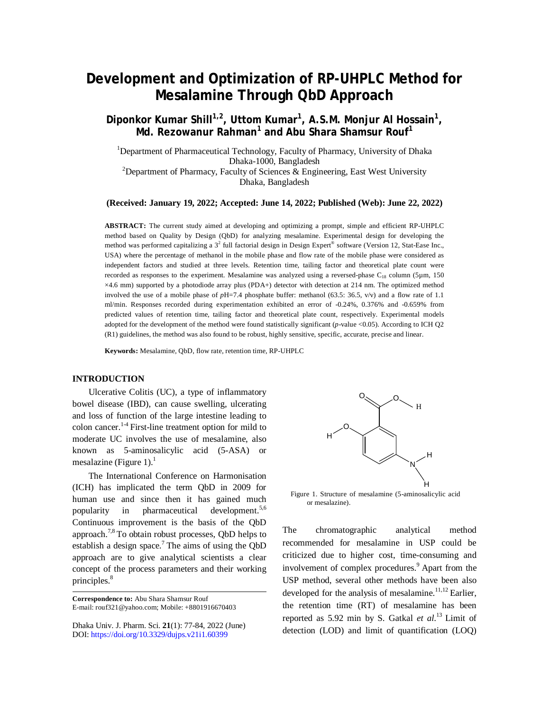# **Development and Optimization of RP-UHPLC Method for Mesalamine Through QbD Approach**

Diponkor Kumar Shill<sup>1,2</sup>, Uttom Kumar<sup>1</sup>, A.S.M. Monjur Al Hossain<sup>1</sup>, **Md. Rezowanur Rahman<sup>1</sup> and Abu Shara Shamsur Rouf<sup>1</sup>**

<sup>1</sup>Department of Pharmaceutical Technology, Faculty of Pharmacy, University of Dhaka Dhaka-1000, Bangladesh

<sup>2</sup>Department of Pharmacy, Faculty of Sciences & Engineering, East West University Dhaka, Bangladesh

**(Received: January 19, 2022; Accepted: June 14, 2022; Published (Web): June 22, 2022)**

**ABSTRACT:** The current study aimed at developing and optimizing a prompt, simple and efficient RP-UHPLC method based on Quality by Design (QbD) for analyzing mesalamine. Experimental design for developing the method was performed capitalizing a 3<sup>2</sup> full factorial design in Design Expert<sup>®</sup> software (Version 12, Stat-Ease Inc., USA) where the percentage of methanol in the mobile phase and flow rate of the mobile phase were considered as independent factors and studied at three levels. Retention time, tailing factor and theoretical plate count were recorded as responses to the experiment. Mesalamine was analyzed using a reversed-phase  $C_{18}$  column (5µm, 150) ×4.6 mm) supported by a photodiode array plus (PDA+) detector with detection at 214 nm. The optimized method involved the use of a mobile phase of *p*H=7.4 phosphate buffer: methanol (63.5: 36.5, v/v) and a flow rate of 1.1 ml/min. Responses recorded during experimentation exhibited an error of -0.24%, 0.376% and -0.659% from predicted values of retention time, tailing factor and theoretical plate count, respectively. Experimental models adopted for the development of the method were found statistically significant (*p*-value <0.05). According to ICH Q2 (R1) guidelines, the method was also found to be robust, highly sensitive, specific, accurate, precise and linear.

**Keywords:** Mesalamine, QbD, flow rate, retention time, RP-UHPLC

## **INTRODUCTION**

Ulcerative Colitis (UC), a type of inflammatory bowel disease (IBD), can cause swelling, ulcerating and loss of function of the large intestine leading to colon cancer.<sup>14</sup> First-line treatment option for mild to moderate UC involves the use of mesalamine, also known as 5-aminosalicylic acid (5-ASA) or mesalazine (Figure 1).<sup>1</sup>

The International Conference on Harmonisation (ICH) has implicated the term QbD in 2009 for human use and since then it has gained much popularity in pharmaceutical development.5,6 Continuous improvement is the basis of the QbD approach.<sup>7,8</sup> To obtain robust processes, QbD helps to establish a design space.<sup>7</sup> The aims of using the  $QbD$ approach are to give analytical scientists a clear concept of the process parameters and their working principles.<sup>8</sup>

**Correspondence to:** Abu Shara Shamsur Rouf E-mail: [rouf321@yahoo.com;](mailto:rouf321@yahoo.com;) Mobile: +8801916670403

Dhaka Univ. J. Pharm. Sci. **21**(1): 77-84, 2022 (June) DOI:<https://doi.org/10.3329/dujps.v21i1.60399>



Figure 1. Structure of mesalamine (5-aminosalicylic acid or mesalazine).

The chromatographic analytical method recommended for mesalamine in USP could be criticized due to higher cost, time-consuming and involvement of complex procedures. <sup>9</sup> Apart from the USP method, several other methods have been also developed for the analysis of mesalamine.<sup>11,12</sup> Earlier, the retention time (RT) of mesalamine has been reported as 5.92 min by S. Gatkal *et al*. <sup>13</sup> Limit of detection (LOD) and limit of quantification (LOQ)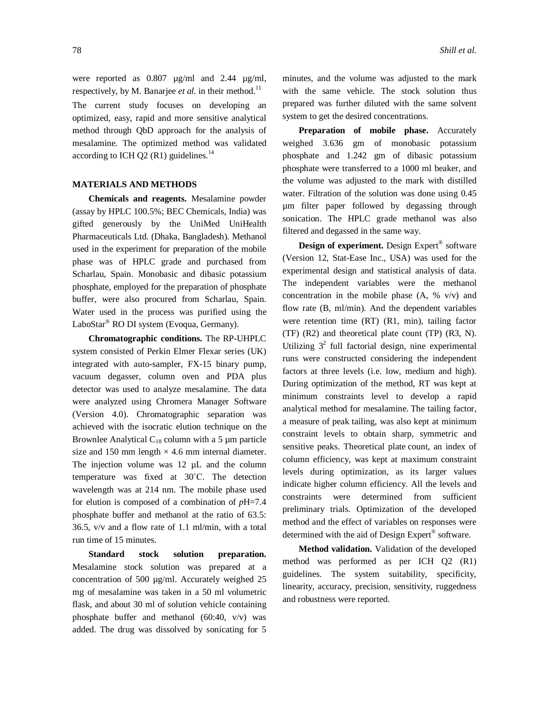were reported as 0.807 µg/ml and 2.44 µg/ml, respectively, by M. Banarjee *et al*. in their method.<sup>11</sup> The current study focuses on developing an optimized, easy, rapid and more sensitive analytical method through QbD approach for the analysis of mesalamine. The optimized method was validated according to ICH Q2 (R1) guidelines. $^{14}$ 

# **MATERIALS AND METHODS**

**Chemicals and reagents.** Mesalamine powder (assay by HPLC 100.5%; BEC Chemicals, India) was gifted generously by the UniMed UniHealth Pharmaceuticals Ltd. (Dhaka, Bangladesh). Methanol used in the experiment for preparation of the mobile phase was of HPLC grade and purchased from Scharlau, Spain. Monobasic and dibasic potassium phosphate, employed for the preparation of phosphate buffer, were also procured from Scharlau, Spain. Water used in the process was purified using the LaboStar® RO DI system (Evoqua, Germany).

**Chromatographic conditions.** The RP-UHPLC system consisted of Perkin Elmer Flexar series (UK) integrated with auto-sampler, FX-15 binary pump, vacuum degasser, column oven and PDA plus detector was used to analyze mesalamine. The data were analyzed using Chromera Manager Software (Version 4.0). Chromatographic separation was achieved with the isocratic elution technique on the Brownlee Analytical  $C_{18}$  column with a 5  $\mu$ m particle size and 150 mm length  $\times$  4.6 mm internal diameter. The injection volume was 12  $\mu$ L and the column temperature was fixed at 30˚C. The detection wavelength was at 214 nm. The mobile phase used for elution is composed of a combination of *p*H=7.4 phosphate buffer and methanol at the ratio of 63.5: 36.5, v/v and a flow rate of 1.1 ml/min, with a total run time of 15 minutes.

**Standard stock solution preparation.** Mesalamine stock solution was prepared at a concentration of 500 µg/ml. Accurately weighed 25 mg of mesalamine was taken in a 50 ml volumetric flask, and about 30 ml of solution vehicle containing phosphate buffer and methanol (60:40, v/v) was added. The drug was dissolved by sonicating for 5

minutes, and the volume was adjusted to the mark with the same vehicle. The stock solution thus prepared was further diluted with the same solvent system to get the desired concentrations.

**Preparation of mobile phase.** Accurately weighed 3.636 gm of monobasic potassium phosphate and 1.242 gm of dibasic potassium phosphate were transferred to a 1000 ml beaker, and the volume was adjusted to the mark with distilled water. Filtration of the solution was done using 0.45 µm filter paper followed by degassing through sonication. The HPLC grade methanol was also filtered and degassed in the same way.

**Design of experiment.** Design Expert® software (Version 12, Stat-Ease Inc., USA) was used for the experimental design and statistical analysis of data. The independent variables were the methanol concentration in the mobile phase (A, % v/v) and flow rate (B, ml/min). And the dependent variables were retention time (RT) (R1, min), tailing factor (TF) (R2) and theoretical plate count (TP) (R3, N). Utilizing  $3^2$  full factorial design, nine experimental runs were constructed considering the independent factors at three levels (i.e. low, medium and high). During optimization of the method, RT was kept at minimum constraints level to develop a rapid analytical method for mesalamine. The tailing factor, a measure of peak tailing, was also kept at minimum constraint levels to obtain sharp, symmetric and sensitive peaks. Theoretical plate count, an index of column efficiency, was kept at maximum constraint levels during optimization, as its larger values indicate higher column efficiency. All the levels and constraints were determined from sufficient preliminary trials. Optimization of the developed method and the effect of variables on responses were determined with the aid of Design Expert® software.

**Method validation.** Validation of the developed method was performed as per ICH Q2 (R1) guidelines. The system suitability, specificity, linearity, accuracy, precision, sensitivity, ruggedness and robustness were reported.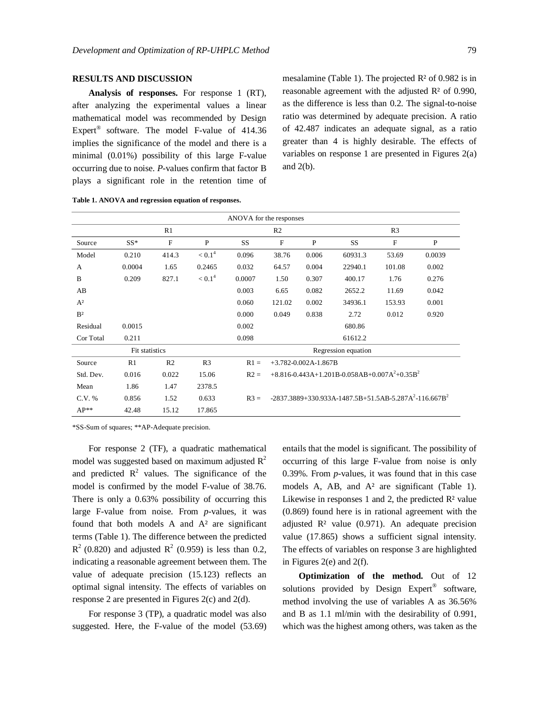**Analysis of responses.** For response 1 (RT), after analyzing the experimental values a linear mathematical model was recommended by Design Expert<sup>®</sup> software. The model F-value of 414.36 implies the significance of the model and there is a minimal (0.01%) possibility of this large F-value occurring due to noise. *P*-values confirm that factor B plays a significant role in the retention time of mesalamine (Table 1). The projected R² of 0.982 is in reasonable agreement with the adjusted R² of 0.990, as the difference is less than 0.2. The signal-to-noise ratio was determined by adequate precision. A ratio of 42.487 indicates an adequate signal, as a ratio greater than 4 is highly desirable. The effects of variables on response 1 are presented in Figures 2(a) and 2(b).

| ANOVA for the responses |                     |                |                    |                |                                                           |       |                                                                    |              |        |
|-------------------------|---------------------|----------------|--------------------|----------------|-----------------------------------------------------------|-------|--------------------------------------------------------------------|--------------|--------|
|                         | R1                  |                |                    | R <sub>2</sub> |                                                           |       | R <sub>3</sub>                                                     |              |        |
| Source                  | $SS^*$              | $\mathbf{F}$   | P                  | <b>SS</b>      | F                                                         | P     | <b>SS</b>                                                          | $\mathbf{F}$ | P      |
| Model                   | 0.210               | 414.3          | < 0.1 <sup>4</sup> | 0.096          | 38.76                                                     | 0.006 | 60931.3                                                            | 53.69        | 0.0039 |
| A                       | 0.0004              | 1.65           | 0.2465             | 0.032          | 64.57                                                     | 0.004 | 22940.1                                                            | 101.08       | 0.002  |
| B                       | 0.209               | 827.1          | < 0.1 <sup>4</sup> | 0.0007         | 1.50                                                      | 0.307 | 400.17                                                             | 1.76         | 0.276  |
| AB                      |                     |                |                    | 0.003          | 6.65                                                      | 0.082 | 2652.2                                                             | 11.69        | 0.042  |
| $A^2$                   |                     |                |                    | 0.060          | 121.02                                                    | 0.002 | 34936.1                                                            | 153.93       | 0.001  |
| B <sup>2</sup>          |                     |                |                    | 0.000          | 0.049                                                     | 0.838 | 2.72                                                               | 0.012        | 0.920  |
| Residual                | 0.0015              |                |                    | 0.002          |                                                           |       | 680.86                                                             |              |        |
| Cor Total               | 0.211               |                |                    | 0.098          |                                                           |       | 61612.2                                                            |              |        |
|                         | Regression equation |                |                    |                |                                                           |       |                                                                    |              |        |
| Source                  | R1                  | R <sub>2</sub> | R <sub>3</sub>     | $R1 =$         | $+3.782 - 0.002A - 1.867B$                                |       |                                                                    |              |        |
| Std. Dev.               | 0.016               | 0.022          | 15.06              | $R2 =$         | $+8.816 - 0.443A + 1.201B - 0.058AB + 0.007A^2 + 0.35B^2$ |       |                                                                    |              |        |
| Mean                    | 1.86                | 1.47           | 2378.5             |                |                                                           |       |                                                                    |              |        |
| C.V. %                  | 0.856               | 1.52           | 0.633              | $R3 =$         |                                                           |       | $-2837.3889 + 330.933A - 1487.5B + 51.5AB - 5.287A^2 - 116.667B^2$ |              |        |
| $AP**$                  | 42.48               | 15.12          | 17.865             |                |                                                           |       |                                                                    |              |        |

**Table 1. ANOVA and regression equation of responses.**

\*SS-Sum of squares; \*\*AP-Adequate precision.

For response 2 (TF), a quadratic mathematical model was suggested based on maximum adjusted  $\mathbb{R}^2$ and predicted  $\mathbb{R}^2$  values. The significance of the model is confirmed by the model F-value of 38.76. There is only a 0.63% possibility of occurring this large F-value from noise. From *p*-values, it was found that both models A and  $A<sup>2</sup>$  are significant terms (Table 1). The difference between the predicted  $R^2$  (0.820) and adjusted  $R^2$  (0.959) is less than 0.2, indicating a reasonable agreement between them. The value of adequate precision (15.123) reflects an optimal signal intensity. The effects of variables on response 2 are presented in Figures 2(c) and 2(d).

For response 3 (TP), a quadratic model was also suggested. Here, the F-value of the model (53.69) entails that the model is significant. The possibility of occurring of this large F-value from noise is only 0.39%. From *p*-values, it was found that in this case models A, AB, and A<sup>2</sup> are significant (Table 1). Likewise in responses 1 and 2, the predicted  $\mathbb{R}^2$  value (0.869) found here is in rational agreement with the adjusted  $\mathbb{R}^2$  value (0.971). An adequate precision value (17.865) shows a sufficient signal intensity. The effects of variables on response 3 are highlighted in Figures 2(e) and 2(f).

**Optimization of the method.** Out of 12 solutions provided by Design Expert® software, method involving the use of variables A as 36.56% and B as 1.1 ml/min with the desirability of 0.991, which was the highest among others, was taken as the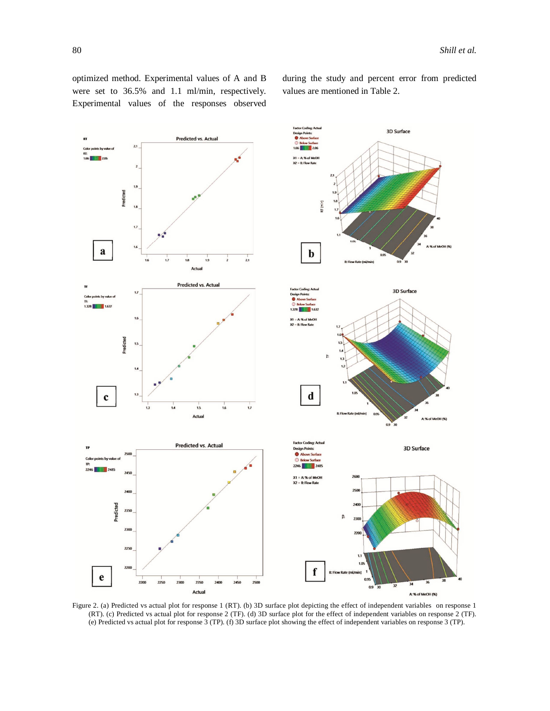optimized method. Experimental values of A and B were set to 36.5% and 1.1 ml/min, respectively. Experimental values of the responses observed during the study and percent error from predicted values are mentioned in Table 2.



Figure 2. (a) Predicted vs actual plot for response 1 (RT). (b) 3D surface plot depicting the effect of independent variables on response 1 (RT). (c) Predicted vs actual plot for response 2 (TF). (d) 3D surface plot for the effect of independent variables on response 2 (TF). (e) Predicted vs actual plot for response 3 (TP). (f) 3D surface plot showing the effect of independent variables on response 3 (TP).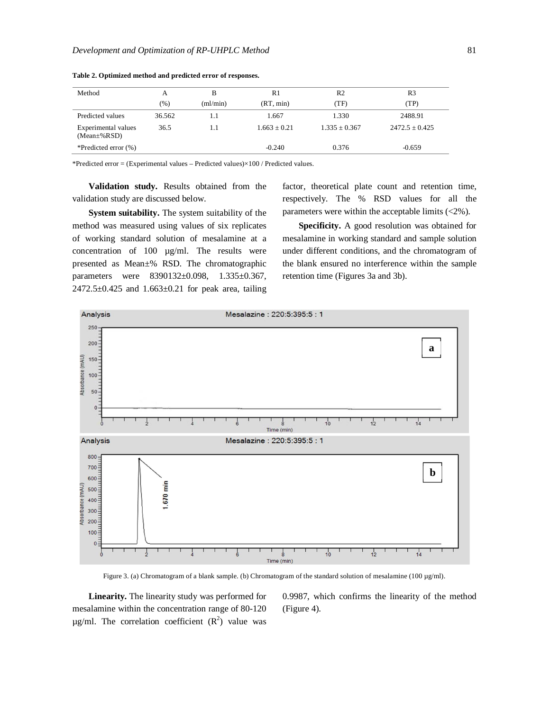| Method                                     | A       | В        | R1             | R <sub>2</sub>  | R3               |
|--------------------------------------------|---------|----------|----------------|-----------------|------------------|
|                                            | $(\% )$ | (ml/min) | (RT, min)      | (TF)            | (TP)             |
| Predicted values                           | 36.562  | 1.1      | 1.667          | 1.330           | 2488.91          |
| Experimental values<br>$(Mean \pm \% RSD)$ | 36.5    | 1.1      | $1.663 + 0.21$ | $1.335 + 0.367$ | $2472.5 + 0.425$ |
| *Predicted error $(\%)$                    |         |          | $-0.240$       | 0.376           | $-0.659$         |

**Table 2. Optimized method and predicted error of responses.**

\*Predicted error = (Experimental values – Predicted values)×100 / Predicted values.

**Validation study.** Results obtained from the validation study are discussed below.

**System suitability.** The system suitability of the method was measured using values of six replicates of working standard solution of mesalamine at a concentration of 100 µg/ml. The results were presented as Mean±% RSD. The chromatographic parameters were 8390132±0.098, 1.335±0.367,  $2472.5 \pm 0.425$  and  $1.663 \pm 0.21$  for peak area, tailing factor, theoretical plate count and retention time, respectively. The % RSD values for all the parameters were within the acceptable limits (<2%).

**Specificity.** A good resolution was obtained for mesalamine in working standard and sample solution under different conditions, and the chromatogram of the blank ensured no interference within the sample retention time (Figures 3a and 3b).



Figure 3. (a) Chromatogram of a blank sample. (b) Chromatogram of the standard solution of mesalamine (100 µg/ml).

**Linearity.** The linearity study was performed for mesalamine within the concentration range of 80-120  $\mu$ g/ml. The correlation coefficient ( $\mathbb{R}^2$ ) value was 0.9987, which confirms the linearity of the method (Figure 4).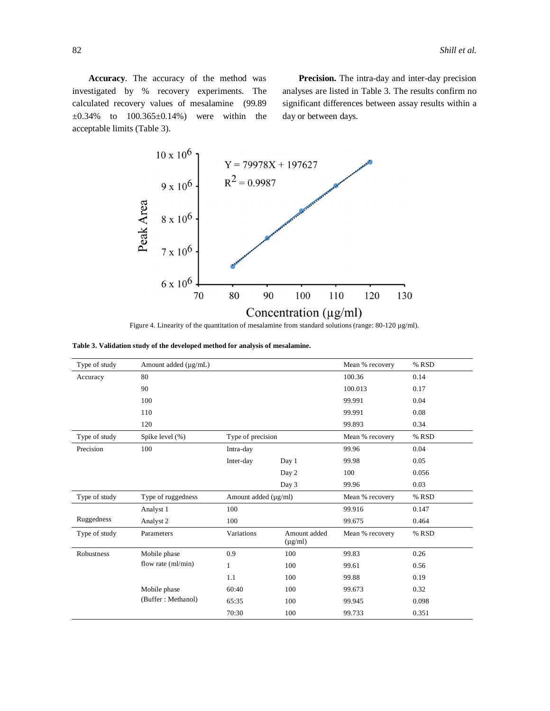**Accuracy**. The accuracy of the method was investigated by % recovery experiments. The calculated recovery values of mesalamine (99.89  $\pm 0.34\%$  to  $100.365\pm 0.14\%$  were within the acceptable limits (Table 3).

**Precision.** The intra-day and inter-day precision analyses are listed in Table 3. The results confirm no significant differences between assay results within a day or between days.



Figure 4. Linearity of the quantitation of mesalamine from standard solutions (range: 80-120 µg/ml).

|  |  |  |  |  |  |  | Table 3. Validation study of the developed method for analysis of mesalamine. |
|--|--|--|--|--|--|--|-------------------------------------------------------------------------------|
|--|--|--|--|--|--|--|-------------------------------------------------------------------------------|

| Type of study | Amount added $(\mu g/mL)$ |                           |                              | Mean % recovery | % RSD |
|---------------|---------------------------|---------------------------|------------------------------|-----------------|-------|
| Accuracy      | 80                        |                           |                              | 100.36          | 0.14  |
|               | 90                        |                           |                              | 100.013         | 0.17  |
|               | 100                       |                           |                              | 99.991          | 0.04  |
|               | 110                       |                           |                              | 99.991          | 0.08  |
|               | 120                       |                           |                              | 99.893          | 0.34  |
| Type of study | Spike level (%)           | Type of precision         |                              | Mean % recovery | % RSD |
| Precision     | 100                       | Intra-day                 |                              | 99.96           | 0.04  |
|               |                           | Inter-day                 | Day 1                        | 99.98           | 0.05  |
|               |                           |                           | Day 2                        | 100             | 0.056 |
|               |                           |                           | Day 3                        | 99.96           | 0.03  |
| Type of study | Type of ruggedness        | Amount added $(\mu g/ml)$ |                              | Mean % recovery | % RSD |
|               | Analyst 1                 | 100                       |                              | 99.916          | 0.147 |
| Ruggedness    | Analyst 2                 | 100                       |                              | 99.675          | 0.464 |
| Type of study | Parameters                | Variations                | Amount added<br>$(\mu g/ml)$ | Mean % recovery | % RSD |
| Robustness    | Mobile phase              | 0.9                       | 100                          | 99.83           | 0.26  |
|               | flow rate (ml/min)        | $\mathbf{1}$              | 100                          | 99.61           | 0.56  |
|               |                           | 1.1                       | 100                          | 99.88           | 0.19  |
|               | Mobile phase              | 60:40                     | 100                          | 99.673          | 0.32  |
|               | (Buffer: Methanol)        | 65:35                     | 100                          | 99.945          | 0.098 |
|               |                           | 70:30                     | 100                          | 99.733          | 0.351 |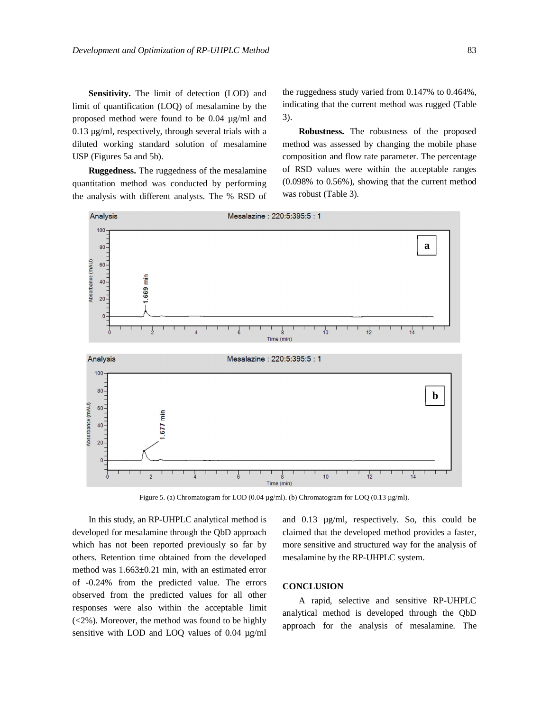**Sensitivity.** The limit of detection (LOD) and limit of quantification (LOQ) of mesalamine by the proposed method were found to be 0.04 µg/ml and 0.13 µg/ml, respectively, through several trials with a diluted working standard solution of mesalamine USP (Figures 5a and 5b).

**Ruggedness.** The ruggedness of the mesalamine quantitation method was conducted by performing the analysis with different analysts. The % RSD of the ruggedness study varied from 0.147% to 0.464%, indicating that the current method was rugged (Table 3).

**Robustness.** The robustness of the proposed method was assessed by changing the mobile phase composition and flow rate parameter. The percentage of RSD values were within the acceptable ranges (0.098% to 0.56%), showing that the current method was robust (Table 3).



Figure 5. (a) Chromatogram for LOD (0.04 µg/ml). (b) Chromatogram for LOQ (0.13 µg/ml).

In this study, an RP-UHPLC analytical method is developed for mesalamine through the QbD approach which has not been reported previously so far by others. Retention time obtained from the developed method was 1.663±0.21 min, with an estimated error of -0.24% from the predicted value. The errors observed from the predicted values for all other responses were also within the acceptable limit (<2%). Moreover, the method was found to be highly sensitive with LOD and LOQ values of 0.04 µg/ml and 0.13 µg/ml, respectively. So, this could be claimed that the developed method provides a faster, more sensitive and structured way for the analysis of mesalamine by the RP-UHPLC system.

#### **CONCLUSION**

A rapid, selective and sensitive RP-UHPLC analytical method is developed through the QbD approach for the analysis of mesalamine. The